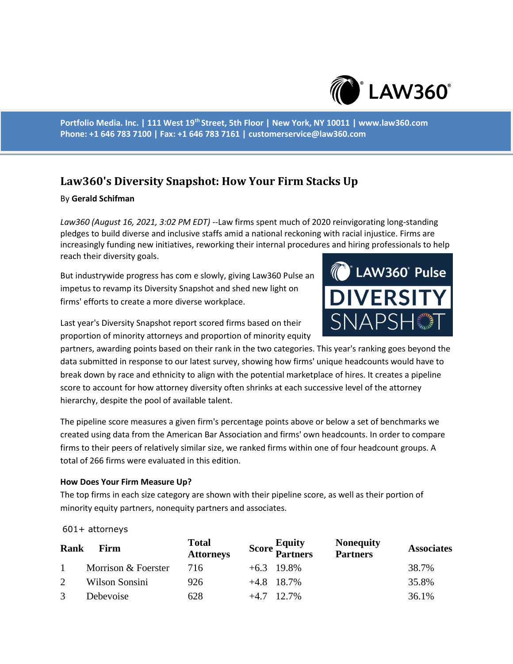

**Portfolio Media. Inc. | 111 West 19th Street, 5th Floor | New York, NY 10011 | www.law360.com Phone: +1 646 783 7100 | Fax: +1 646 783 7161 | customerservice@law360.com**

# **Law360's Diversity Snapshot: How Your Firm Stacks Up**

## By **Gerald Schifman**

*Law360 (August 16, 2021, 3:02 PM EDT)* --Law firms spent much of 2020 reinvigorating long-standing pledges to build diverse and inclusive staffs amid a national reckoning with racial injustice. Firms are increasingly funding new initiatives, reworking their internal procedures and hiring professionals to help reach their diversity goals.

But industrywide progress has com e slowly, giving Law360 Pulse an impetus to revamp its Diversity Snapshot and shed new light on firms' efforts to create a more diverse workplace.



Last year's Diversity Snapshot report scored firms based on their proportion of minority attorneys and proportion of minority equity

partners, awarding points based on their rank in the two categories. This year's ranking goes beyond the data submitted in response to our latest survey, showing how firms' unique headcounts would have to break down by race and ethnicity to align with the potential marketplace of hires. It creates a pipeline score to account for how attorney diversity often shrinks at each successive level of the attorney hierarchy, despite the pool of available talent.

The pipeline score measures a given firm's percentage points above or below a set of benchmarks we created using data from the American Bar Association and firms' own headcounts. In order to compare firms to their peers of relatively similar size, we ranked firms within one of four headcount groups. A total of 266 firms were evaluated in this edition.

## **How Does Your Firm Measure Up?**

The top firms in each size category are shown with their pipeline score, as well as their portion of minority equity partners, nonequity partners and associates.

### 601+ attorneys

| Rank         | Firm                | <b>Total</b><br><b>Attorneys</b> |              | <b>Score Equity</b><br>Partners | <b>Nonequity</b><br><b>Partners</b> | <b>Associates</b> |
|--------------|---------------------|----------------------------------|--------------|---------------------------------|-------------------------------------|-------------------|
| $\mathbf{1}$ | Morrison & Foerster | 716                              | $+6.3$ 19.8% |                                 |                                     | 38.7%             |
| 2            | Wilson Sonsini      | 926                              | $+4.8$ 18.7% |                                 |                                     | 35.8%             |
| 3            | Debevoise           | 628                              | $+4.7$ 12.7% |                                 |                                     | 36.1%             |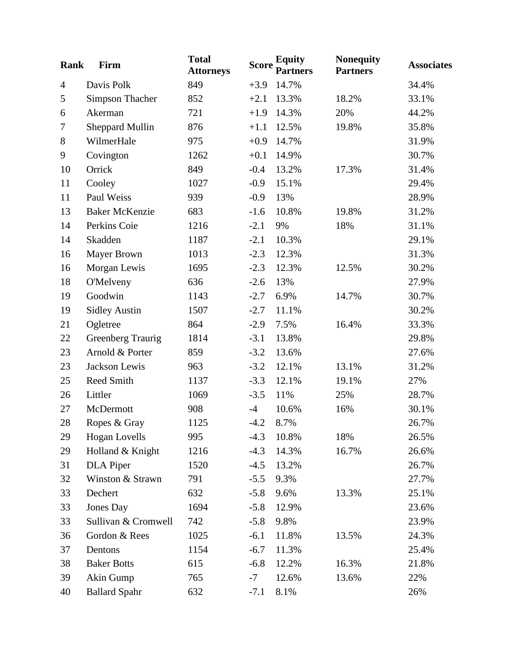| <b>Rank</b>    | Firm                   | <b>Total</b><br><b>Attorneys</b> | <b>Score</b> | <b>Equity</b><br><b>Partners</b> | <b>Nonequity</b><br><b>Partners</b> | <b>Associates</b> |
|----------------|------------------------|----------------------------------|--------------|----------------------------------|-------------------------------------|-------------------|
| $\overline{4}$ | Davis Polk             | 849                              | $+3.9$       | 14.7%                            |                                     | 34.4%             |
| $\mathfrak{S}$ | <b>Simpson Thacher</b> | 852                              | $+2.1$       | 13.3%                            | 18.2%                               | 33.1%             |
| 6              | Akerman                | 721                              | $+1.9$       | 14.3%                            | 20%                                 | 44.2%             |
| 7              | <b>Sheppard Mullin</b> | 876                              | $+1.1$       | 12.5%                            | 19.8%                               | 35.8%             |
| $8\,$          | WilmerHale             | 975                              | $+0.9$       | 14.7%                            |                                     | 31.9%             |
| $\mathbf{9}$   | Covington              | 1262                             | $+0.1$       | 14.9%                            |                                     | 30.7%             |
| 10             | Orrick                 | 849                              | $-0.4$       | 13.2%                            | 17.3%                               | 31.4%             |
| 11             | Cooley                 | 1027                             | $-0.9$       | 15.1%                            |                                     | 29.4%             |
| 11             | Paul Weiss             | 939                              | $-0.9$       | 13%                              |                                     | 28.9%             |
| 13             | <b>Baker McKenzie</b>  | 683                              | $-1.6$       | 10.8%                            | 19.8%                               | 31.2%             |
| 14             | Perkins Coie           | 1216                             | $-2.1$       | 9%                               | 18%                                 | 31.1%             |
| 14             | Skadden                | 1187                             | $-2.1$       | 10.3%                            |                                     | 29.1%             |
| 16             | <b>Mayer Brown</b>     | 1013                             | $-2.3$       | 12.3%                            |                                     | 31.3%             |
| 16             | Morgan Lewis           | 1695                             | $-2.3$       | 12.3%                            | 12.5%                               | 30.2%             |
| 18             | <b>O'Melveny</b>       | 636                              | $-2.6$       | 13%                              |                                     | 27.9%             |
| 19             | Goodwin                | 1143                             | $-2.7$       | 6.9%                             | 14.7%                               | 30.7%             |
| 19             | <b>Sidley Austin</b>   | 1507                             | $-2.7$       | 11.1%                            |                                     | 30.2%             |
| 21             | Ogletree               | 864                              | $-2.9$       | 7.5%                             | 16.4%                               | 33.3%             |
| 22             | Greenberg Traurig      | 1814                             | $-3.1$       | 13.8%                            |                                     | 29.8%             |
| 23             | Arnold & Porter        | 859                              | $-3.2$       | 13.6%                            |                                     | 27.6%             |
| 23             | Jackson Lewis          | 963                              | $-3.2$       | 12.1%                            | 13.1%                               | 31.2%             |
| 25             | Reed Smith             | 1137                             | $-3.3$       | 12.1%                            | 19.1%                               | 27%               |
| 26             | Littler                | 1069                             | $-3.5$       | 11%                              | 25%                                 | 28.7%             |
| 27             | McDermott              | 908                              | $-4$         | 10.6%                            | 16%                                 | 30.1%             |
| 28             | Ropes & Gray           | 1125                             | $-4.2$       | 8.7%                             |                                     | 26.7%             |
| 29             | <b>Hogan Lovells</b>   | 995                              | $-4.3$       | 10.8%                            | 18%                                 | 26.5%             |
| 29             | Holland & Knight       | 1216                             | $-4.3$       | 14.3%                            | 16.7%                               | 26.6%             |
| 31             | <b>DLA</b> Piper       | 1520                             | $-4.5$       | 13.2%                            |                                     | 26.7%             |
| 32             | Winston & Strawn       | 791                              | $-5.5$       | 9.3%                             |                                     | 27.7%             |
| 33             | Dechert                | 632                              | $-5.8$       | 9.6%                             | 13.3%                               | 25.1%             |
| 33             | Jones Day              | 1694                             | $-5.8$       | 12.9%                            |                                     | 23.6%             |
| 33             | Sullivan & Cromwell    | 742                              | $-5.8$       | 9.8%                             |                                     | 23.9%             |
| 36             | Gordon & Rees          | 1025                             | $-6.1$       | 11.8%                            | 13.5%                               | 24.3%             |
| 37             | Dentons                | 1154                             | $-6.7$       | 11.3%                            |                                     | 25.4%             |
| 38             | <b>Baker Botts</b>     | 615                              | $-6.8$       | 12.2%                            | 16.3%                               | 21.8%             |
| 39             | Akin Gump              | 765                              | $-7$         | 12.6%                            | 13.6%                               | 22%               |
| 40             | <b>Ballard Spahr</b>   | 632                              | $-7.1$       | 8.1%                             |                                     | 26%               |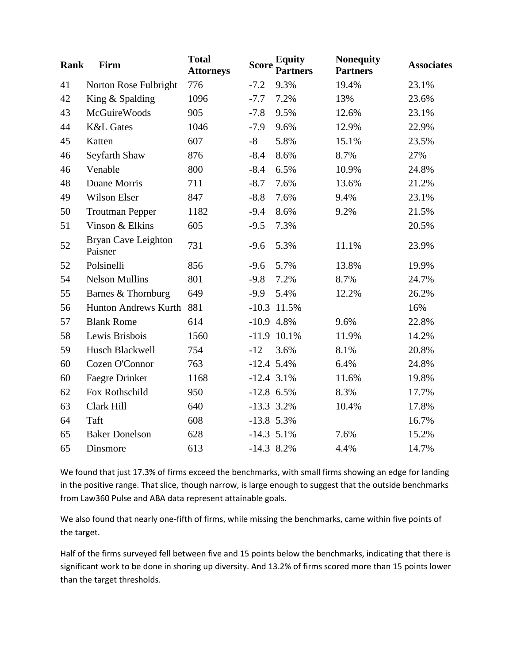| Rank | Firm                           | <b>Total</b><br><b>Attorneys</b> | <b>Score</b> | <b>Equity</b><br><b>Partners</b> | <b>Nonequity</b><br><b>Partners</b> | <b>Associates</b> |
|------|--------------------------------|----------------------------------|--------------|----------------------------------|-------------------------------------|-------------------|
| 41   | Norton Rose Fulbright          | 776                              | $-7.2$       | 9.3%                             | 19.4%                               | 23.1%             |
| 42   | King & Spalding                | 1096                             | $-7.7$       | 7.2%                             | 13%                                 | 23.6%             |
| 43   | <b>McGuireWoods</b>            | 905                              | $-7.8$       | 9.5%                             | 12.6%                               | 23.1%             |
| 44   | <b>K&amp;L</b> Gates           | 1046                             | $-7.9$       | 9.6%                             | 12.9%                               | 22.9%             |
| 45   | Katten                         | 607                              | $-8$         | 5.8%                             | 15.1%                               | 23.5%             |
| 46   | Seyfarth Shaw                  | 876                              | $-8.4$       | 8.6%                             | 8.7%                                | 27%               |
| 46   | Venable                        | 800                              | $-8.4$       | 6.5%                             | 10.9%                               | 24.8%             |
| 48   | Duane Morris                   | 711                              | $-8.7$       | 7.6%                             | 13.6%                               | 21.2%             |
| 49   | <b>Wilson Elser</b>            | 847                              | $-8.8$       | 7.6%                             | 9.4%                                | 23.1%             |
| 50   | <b>Troutman Pepper</b>         | 1182                             | $-9.4$       | 8.6%                             | 9.2%                                | 21.5%             |
| 51   | Vinson & Elkins                | 605                              | $-9.5$       | 7.3%                             |                                     | 20.5%             |
| 52   | Bryan Cave Leighton<br>Paisner | 731                              | $-9.6$       | 5.3%                             | 11.1%                               | 23.9%             |
| 52   | Polsinelli                     | 856                              | $-9.6$       | 5.7%                             | 13.8%                               | 19.9%             |
| 54   | <b>Nelson Mullins</b>          | 801                              | $-9.8$       | 7.2%                             | 8.7%                                | 24.7%             |
| 55   | Barnes & Thornburg             | 649                              | $-9.9$       | 5.4%                             | 12.2%                               | 26.2%             |
| 56   | Hunton Andrews Kurth           | 881                              |              | $-10.3$ 11.5%                    |                                     | 16%               |
| 57   | <b>Blank Rome</b>              | 614                              | $-10.9$ 4.8% |                                  | 9.6%                                | 22.8%             |
| 58   | Lewis Brisbois                 | 1560                             |              | $-11.9$ 10.1%                    | 11.9%                               | 14.2%             |
| 59   | Husch Blackwell                | 754                              | $-12$        | 3.6%                             | 8.1%                                | 20.8%             |
| 60   | Cozen O'Connor                 | 763                              | $-12.4$ 5.4% |                                  | 6.4%                                | 24.8%             |
| 60   | Faegre Drinker                 | 1168                             | $-12.4$ 3.1% |                                  | 11.6%                               | 19.8%             |
| 62   | Fox Rothschild                 | 950                              | $-12.8$ 6.5% |                                  | 8.3%                                | 17.7%             |
| 63   | Clark Hill                     | 640                              | $-13.3$ 3.2% |                                  | 10.4%                               | 17.8%             |
| 64   | Taft                           | 608                              | $-13.8$ 5.3% |                                  |                                     | 16.7%             |
| 65   | <b>Baker Donelson</b>          | 628                              | $-14.3$ 5.1% |                                  | 7.6%                                | 15.2%             |
| 65   | Dinsmore                       | 613                              | $-14.3$ 8.2% |                                  | 4.4%                                | 14.7%             |

We found that just 17.3% of firms exceed the benchmarks, with small firms showing an edge for landing in the positive range. That slice, though narrow, is large enough to suggest that the outside benchmarks from Law360 Pulse and ABA data represent attainable goals.

We also found that nearly one-fifth of firms, while missing the benchmarks, came within five points of the target.

Half of the firms surveyed fell between five and 15 points below the benchmarks, indicating that there is significant work to be done in shoring up diversity. And 13.2% of firms scored more than 15 points lower than the target thresholds.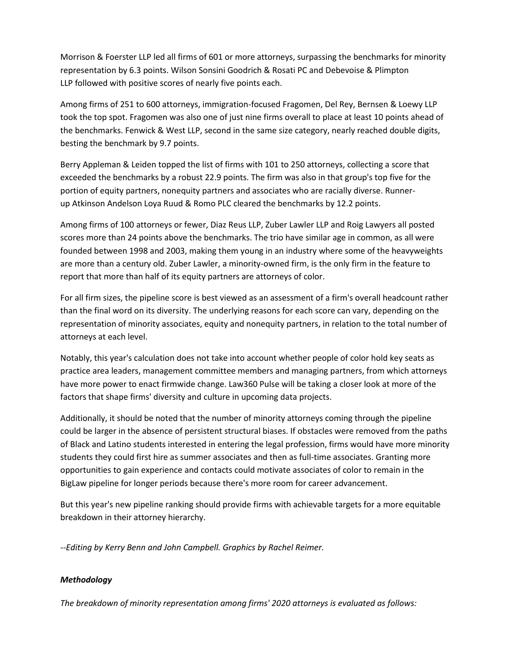Morrison & Foerster LLP led all firms of 601 or more attorneys, surpassing the benchmarks for minority representation by 6.3 points. Wilson Sonsini Goodrich & Rosati PC and Debevoise & Plimpton LLP followed with positive scores of nearly five points each.

Among firms of 251 to 600 attorneys, immigration-focused Fragomen, Del Rey, Bernsen & Loewy LLP took the top spot. Fragomen was also one of just nine firms overall to place at least 10 points ahead of the benchmarks. Fenwick & West LLP, second in the same size category, nearly reached double digits, besting the benchmark by 9.7 points.

Berry Appleman & Leiden topped the list of firms with 101 to 250 attorneys, collecting a score that exceeded the benchmarks by a robust 22.9 points. The firm was also in that group's top five for the portion of equity partners, nonequity partners and associates who are racially diverse. Runnerup Atkinson Andelson Loya Ruud & Romo PLC cleared the benchmarks by 12.2 points.

Among firms of 100 attorneys or fewer, Diaz Reus LLP, Zuber Lawler LLP and Roig Lawyers all posted scores more than 24 points above the benchmarks. The trio have similar age in common, as all were founded between 1998 and 2003, making them young in an industry where some of the heavyweights are more than a century old. Zuber Lawler, a minority-owned firm, is the only firm in the feature to report that more than half of its equity partners are attorneys of color.

For all firm sizes, the pipeline score is best viewed as an assessment of a firm's overall headcount rather than the final word on its diversity. The underlying reasons for each score can vary, depending on the representation of minority associates, equity and nonequity partners, in relation to the total number of attorneys at each level.

Notably, this year's calculation does not take into account whether people of color hold key seats as practice area leaders, management committee members and managing partners, from which attorneys have more power to enact firmwide change. Law360 Pulse will be taking a closer look at more of the factors that shape firms' diversity and culture in upcoming data projects.

Additionally, it should be noted that the number of minority attorneys coming through the pipeline could be larger in the absence of persistent structural biases. If obstacles were removed from the paths of Black and Latino students interested in entering the legal profession, firms would have more minority students they could first hire as summer associates and then as full-time associates. Granting more opportunities to gain experience and contacts could motivate associates of color to remain in the BigLaw pipeline for longer periods because there's more room for career advancement.

But this year's new pipeline ranking should provide firms with achievable targets for a more equitable breakdown in their attorney hierarchy.

*--Editing by Kerry Benn and John Campbell. Graphics by Rachel Reimer.*

### *Methodology*

*The breakdown of minority representation among firms' 2020 attorneys is evaluated as follows:*